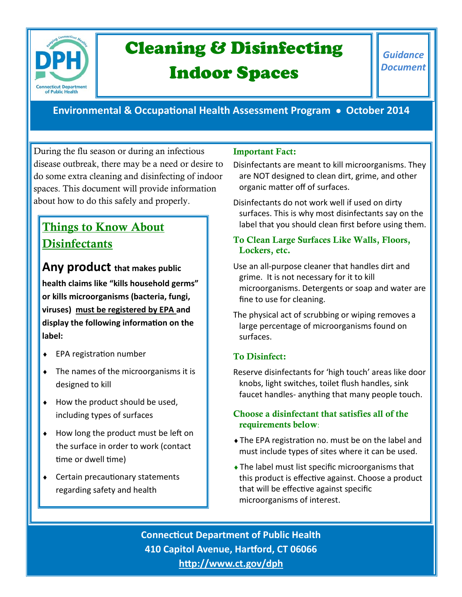

# Cleaning & Disinfecting

## Indoor Spaces

## **Environmental & Occupational Health Assessment Program October 2014**

During the flu season or during an infectious disease outbreak, there may be a need or desire to do some extra cleaning and disinfecting of indoor spaces. This document will provide information about how to do this safely and properly.

## **Things to Know About Disinfectants**

**Any product that makes public health claims like "kills household germs"** 

**or kills microorganisms (bacteria, fungi, viruses) must be registered by EPA and display the following information on the label:**

- ◆ EPA registration number
- The names of the microorganisms it is designed to kill
- $\bullet$  How the product should be used, including types of surfaces
- ◆ How long the product must be left on the surface in order to work (contact time or dwell time)
- Certain precautionary statements regarding safety and health

## **Important Fact:**

Disinfectants are meant to kill microorganisms. They are NOT designed to clean dirt, grime, and other organic matter off of surfaces.

Disinfectants do not work well if used on dirty surfaces. This is why most disinfectants say on the label that you should clean first before using them.

### **To Clean Large Surfaces Like Walls, Floors, Lockers, etc.**

Use an all-purpose cleaner that handles dirt and grime. It is not necessary for it to kill microorganisms. Detergents or soap and water are fine to use for cleaning.

The physical act of scrubbing or wiping removes a large percentage of microorganisms found on surfaces.

## **To Disinfect:**

Reserve disinfectants for 'high touch' areas like door knobs, light switches, toilet flush handles, sink faucet handles- anything that many people touch.

### **Choose a disinfectant that satisfies all of the requirements below**:

- The EPA registration no. must be on the label and must include types of sites where it can be used.
- The label must list specific microorganisms that this product is effective against. Choose a product that will be effective against specific microorganisms of interest.

**Connecticut Department of Public Health 410 Capitol Avenue, Hartford, CT 06066 <http://www.ct.gov/dph>**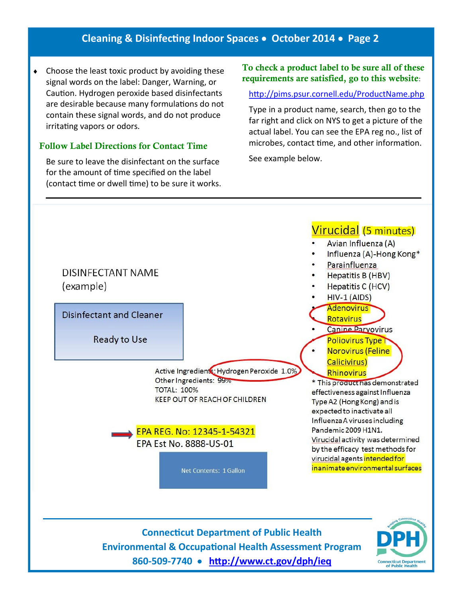## **Cleaning & Disinfecting Indoor Spaces October 2014 Page 2**

• Choose the least toxic product by avoiding these signal words on the label: Danger, Warning, or Caution. Hydrogen peroxide based disinfectants are desirable because many formulations do not contain these signal words, and do not produce irritating vapors or odors.

#### **Follow Label Directions for Contact Time**

Be sure to leave the disinfectant on the surface for the amount of time specified on the label (contact time or dwell time) to be sure it works.

#### **To check a product label to be sure all of these requirements are satisfied, go to this website**:

#### <http://pims.psur.cornell.edu/ProductName.php>

Type in a product name, search, then go to the far right and click on NYS to get a picture of the actual label. You can see the EPA reg no., list of microbes, contact time, and other information.

See example below.



**Connecticut Department of Public Health Environmental & Occupational Health Assessment Program 860-509-7740 <http://www.ct.gov/dph/ieq>**